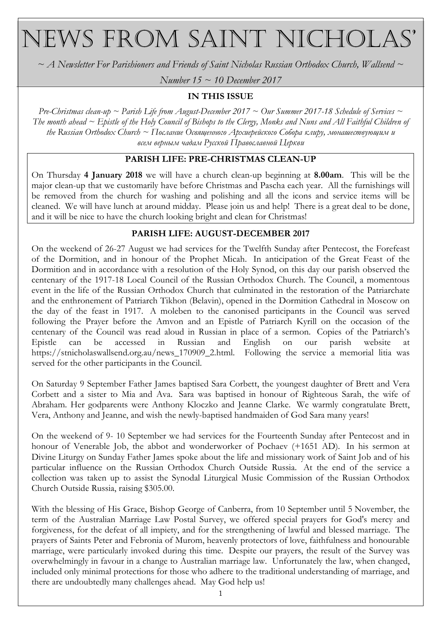# NEWS FROM SAINT NICHOLAS'

 $\sim$  A Newsletter For Parishioners and Friends of Saint Nicholas Russian Orthodox Church, Wallsend  $\sim$ 

Number 15  $\sim$  10 December 2017

### IN THIS ISSUE

Pre-Christmas clean-up ~ Parish Life from August-December 2017 ~ Our Summer 2017-18 Schedule of Services ~ The month ahead  $\sim$  Epistle of the Holy Council of Bishops to the Clergy, Monks and Nuns and All Faithful Children of the Russian Orthodox Church ~ Послание Освященного Архиерейского Собора клиру, монашествующим и всем верным чадам Русской Православной Церкви

#### PARISH LIFE: PRE-CHRISTMAS CLEAN-UP

On Thursday 4 January 2018 we will have a church clean-up beginning at 8.00am. This will be the major clean-up that we customarily have before Christmas and Pascha each year. All the furnishings will be removed from the church for washing and polishing and all the icons and service items will be cleaned. We will have lunch at around midday. Please join us and help! There is a great deal to be done, and it will be nice to have the church looking bright and clean for Christmas!

#### PARISH LIFE: AUGUST-DECEMBER 2017

On the weekend of 26-27 August we had services for the Twelfth Sunday after Pentecost, the Forefeast of the Dormition, and in honour of the Prophet Micah. In anticipation of the Great Feast of the Dormition and in accordance with a resolution of the Holy Synod, on this day our parish observed the centenary of the 1917-18 Local Council of the Russian Orthodox Church. The Council, a momentous event in the life of the Russian Orthodox Church that culminated in the restoration of the Patriarchate and the enthronement of Patriarch Tikhon (Belavin), opened in the Dormition Cathedral in Moscow on the day of the feast in 1917. A moleben to the canonised participants in the Council was served following the Prayer before the Amvon and an Epistle of Patriarch Kyrill on the occasion of the centenary of the Council was read aloud in Russian in place of a sermon. Copies of the Patriarch's Epistle can be accessed in Russian and English on our parish website at https://stnicholaswallsend.org.au/news\_170909\_2.html. Following the service a memorial litia was served for the other participants in the Council.

On Saturday 9 September Father James baptised Sara Corbett, the youngest daughter of Brett and Vera Corbett and a sister to Mia and Ava. Sara was baptised in honour of Righteous Sarah, the wife of Abraham. Her godparents were Anthony Kloczko and Jeanne Clarke. We warmly congratulate Brett, Vera, Anthony and Jeanne, and wish the newly-baptised handmaiden of God Sara many years!

On the weekend of 9- 10 September we had services for the Fourteenth Sunday after Pentecost and in honour of Venerable Job, the abbot and wonderworker of Pochaev (+1651 AD). In his sermon at Divine Liturgy on Sunday Father James spoke about the life and missionary work of Saint Job and of his particular influence on the Russian Orthodox Church Outside Russia. At the end of the service a collection was taken up to assist the Synodal Liturgical Music Commission of the Russian Orthodox Church Outside Russia, raising \$305.00.

With the blessing of His Grace, Bishop George of Canberra, from 10 September until 5 November, the term of the Australian Marriage Law Postal Survey, we offered special prayers for God's mercy and forgiveness, for the defeat of all impiety, and for the strengthening of lawful and blessed marriage. The prayers of Saints Peter and Febronia of Murom, heavenly protectors of love, faithfulness and honourable marriage, were particularly invoked during this time. Despite our prayers, the result of the Survey was overwhelmingly in favour in a change to Australian marriage law. Unfortunately the law, when changed, included only minimal protections for those who adhere to the traditional understanding of marriage, and there are undoubtedly many challenges ahead. May God help us!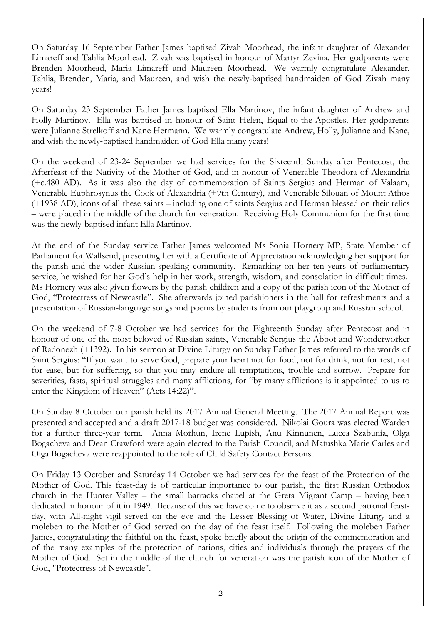On Saturday 16 September Father James baptised Zivah Moorhead, the infant daughter of Alexander Limareff and Tahlia Moorhead. Zivah was baptised in honour of Martyr Zevina. Her godparents were Brenden Moorhead, Maria Limareff and Maureen Moorhead. We warmly congratulate Alexander, Tahlia, Brenden, Maria, and Maureen, and wish the newly-baptised handmaiden of God Zivah many years!

On Saturday 23 September Father James baptised Ella Martinov, the infant daughter of Andrew and Holly Martinov. Ella was baptised in honour of Saint Helen, Equal-to-the-Apostles. Her godparents were Julianne Strelkoff and Kane Hermann. We warmly congratulate Andrew, Holly, Julianne and Kane, and wish the newly-baptised handmaiden of God Ella many years!

On the weekend of 23-24 September we had services for the Sixteenth Sunday after Pentecost, the Afterfeast of the Nativity of the Mother of God, and in honour of Venerable Theodora of Alexandria (+c.480 AD). As it was also the day of commemoration of Saints Sergius and Herman of Valaam, Venerable Euphrosynus the Cook of Alexandria (+9th Century), and Venerable Silouan of Mount Athos (+1938 AD), icons of all these saints – including one of saints Sergius and Herman blessed on their relics – were placed in the middle of the church for veneration. Receiving Holy Communion for the first time was the newly-baptised infant Ella Martinov.

At the end of the Sunday service Father James welcomed Ms Sonia Hornery MP, State Member of Parliament for Wallsend, presenting her with a Certificate of Appreciation acknowledging her support for the parish and the wider Russian-speaking community. Remarking on her ten years of parliamentary service, he wished for her God's help in her work, strength, wisdom, and consolation in difficult times. Ms Hornery was also given flowers by the parish children and a copy of the parish icon of the Mother of God, "Protectress of Newcastle". She afterwards joined parishioners in the hall for refreshments and a presentation of Russian-language songs and poems by students from our playgroup and Russian school.

On the weekend of 7-8 October we had services for the Eighteenth Sunday after Pentecost and in honour of one of the most beloved of Russian saints, Venerable Sergius the Abbot and Wonderworker of Radonezh (+1392). In his sermon at Divine Liturgy on Sunday Father James referred to the words of Saint Sergius: "If you want to serve God, prepare your heart not for food, not for drink, not for rest, not for ease, but for suffering, so that you may endure all temptations, trouble and sorrow. Prepare for severities, fasts, spiritual struggles and many afflictions, for "by many afflictions is it appointed to us to enter the Kingdom of Heaven" (Acts 14:22)".

On Sunday 8 October our parish held its 2017 Annual General Meeting. The 2017 Annual Report was presented and accepted and a draft 2017-18 budget was considered. Nikolai Goura was elected Warden for a further three-year term. Anna Morhun, Irene Lupish, Anu Kinnunen, Lucea Szabunia, Olga Bogacheva and Dean Crawford were again elected to the Parish Council, and Matushka Marie Carles and Olga Bogacheva were reappointed to the role of Child Safety Contact Persons.

On Friday 13 October and Saturday 14 October we had services for the feast of the Protection of the Mother of God. This feast-day is of particular importance to our parish, the first Russian Orthodox church in the Hunter Valley – the small barracks chapel at the Greta Migrant Camp – having been dedicated in honour of it in 1949. Because of this we have come to observe it as a second patronal feastday, with All-night vigil served on the eve and the Lesser Blessing of Water, Divine Liturgy and a moleben to the Mother of God served on the day of the feast itself. Following the moleben Father James, congratulating the faithful on the feast, spoke briefly about the origin of the commemoration and of the many examples of the protection of nations, cities and individuals through the prayers of the Mother of God. Set in the middle of the church for veneration was the parish icon of the Mother of God, "Protectress of Newcastle".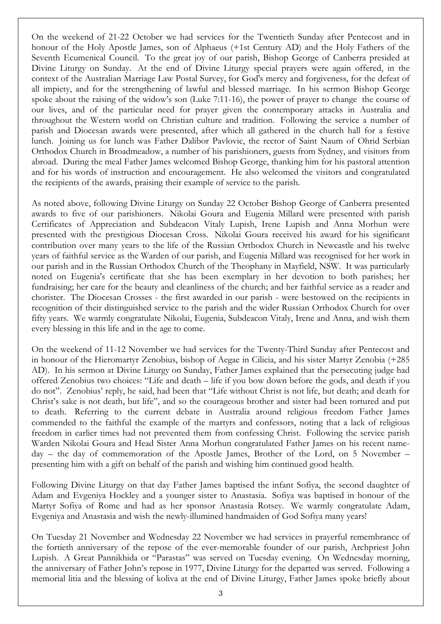On the weekend of 21-22 October we had services for the Twentieth Sunday after Pentecost and in honour of the Holy Apostle James, son of Alphaeus (+1st Century AD) and the Holy Fathers of the Seventh Ecumenical Council. To the great joy of our parish, Bishop George of Canberra presided at Divine Liturgy on Sunday. At the end of Divine Liturgy special prayers were again offered, in the context of the Australian Marriage Law Postal Survey, for God's mercy and forgiveness, for the defeat of all impiety, and for the strengthening of lawful and blessed marriage. In his sermon Bishop George spoke about the raising of the widow's son (Luke 7:11-16), the power of prayer to change the course of our lives, and of the particular need for prayer given the contemporary attacks in Australia and throughout the Western world on Christian culture and tradition. Following the service a number of parish and Diocesan awards were presented, after which all gathered in the church hall for a festive lunch. Joining us for lunch was Father Dalibor Pavlovic, the rector of Saint Naum of Ohrid Serbian Orthodox Church in Broadmeadow, a number of his parishioners, guests from Sydney, and visitors from abroad. During the meal Father James welcomed Bishop George, thanking him for his pastoral attention and for his words of instruction and encouragement. He also welcomed the visitors and congratulated the recipients of the awards, praising their example of service to the parish.

As noted above, following Divine Liturgy on Sunday 22 October Bishop George of Canberra presented awards to five of our parishioners. Nikolai Goura and Eugenia Millard were presented with parish Certificates of Appreciation and Subdeacon Vitaly Lupish, Irene Lupish and Anna Morhun were presented with the prestigious Diocesan Cross. Nikolai Goura received his award for his significant contribution over many years to the life of the Russian Orthodox Church in Newcastle and his twelve years of faithful service as the Warden of our parish, and Eugenia Millard was recognised for her work in our parish and in the Russian Orthodox Church of the Theophany in Mayfield, NSW. It was particularly noted on Eugenia's certificate that she has been exemplary in her devotion to both parishes; her fundraising; her care for the beauty and cleanliness of the church; and her faithful service as a reader and chorister. The Diocesan Crosses - the first awarded in our parish - were bestowed on the recipients in recognition of their distinguished service to the parish and the wider Russian Orthodox Church for over fifty years. We warmly congratulate Nikolai, Eugenia, Subdeacon Vitaly, Irene and Anna, and wish them every blessing in this life and in the age to come.

On the weekend of 11-12 November we had services for the Twenty-Third Sunday after Pentecost and in honour of the Hieromartyr Zenobius, bishop of Aegae in Cilicia, and his sister Martyr Zenobia (+285 AD). In his sermon at Divine Liturgy on Sunday, Father James explained that the persecuting judge had offered Zenobius two choices: "Life and death – life if you bow down before the gods, and death if you do not". Zenobius' reply, he said, had been that "Life without Christ is not life, but death; and death for Christ's sake is not death, but life", and so the courageous brother and sister had been tortured and put to death. Referring to the current debate in Australia around religious freedom Father James commended to the faithful the example of the martyrs and confessors, noting that a lack of religious freedom in earlier times had not prevented them from confessing Christ. Following the service parish Warden Nikolai Goura and Head Sister Anna Morhun congratulated Father James on his recent nameday – the day of commemoration of the Apostle James, Brother of the Lord, on 5 November – presenting him with a gift on behalf of the parish and wishing him continued good health.

Following Divine Liturgy on that day Father James baptised the infant Sofiya, the second daughter of Adam and Evgeniya Hockley and a younger sister to Anastasia. Sofiya was baptised in honour of the Martyr Sofiya of Rome and had as her sponsor Anastasia Rotsey. We warmly congratulate Adam, Evgeniya and Anastasia and wish the newly-illumined handmaiden of God Sofiya many years!

On Tuesday 21 November and Wednesday 22 November we had services in prayerful remembrance of the fortieth anniversary of the repose of the ever-memorable founder of our parish, Archpriest John Lupish. A Great Pannikhida or "Parastas" was served on Tuesday evening. On Wednesday morning, the anniversary of Father John's repose in 1977, Divine Liturgy for the departed was served. Following a memorial litia and the blessing of koliva at the end of Divine Liturgy, Father James spoke briefly about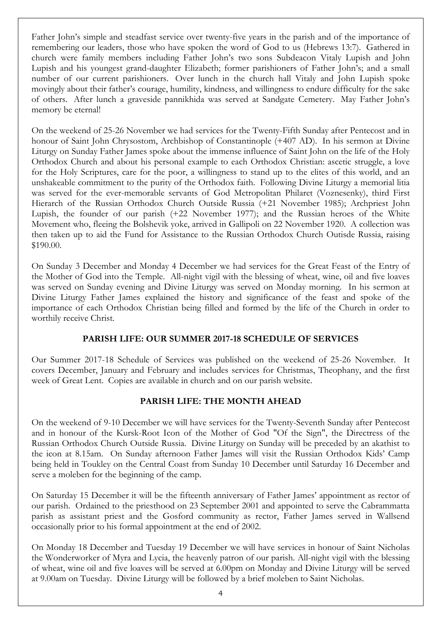Father John's simple and steadfast service over twenty-five years in the parish and of the importance of remembering our leaders, those who have spoken the word of God to us (Hebrews 13:7). Gathered in church were family members including Father John's two sons Subdeacon Vitaly Lupish and John Lupish and his youngest grand-daughter Elizabeth; former parishioners of Father John's; and a small number of our current parishioners. Over lunch in the church hall Vitaly and John Lupish spoke movingly about their father's courage, humility, kindness, and willingness to endure difficulty for the sake of others. After lunch a graveside pannikhida was served at Sandgate Cemetery. May Father John's memory be eternal!

On the weekend of 25-26 November we had services for the Twenty-Fifth Sunday after Pentecost and in honour of Saint John Chrysostom, Archbishop of Constantinople (+407 AD). In his sermon at Divine Liturgy on Sunday Father James spoke about the immense influence of Saint John on the life of the Holy Orthodox Church and about his personal example to each Orthodox Christian: ascetic struggle, a love for the Holy Scriptures, care for the poor, a willingness to stand up to the elites of this world, and an unshakeable commitment to the purity of the Orthodox faith. Following Divine Liturgy a memorial litia was served for the ever-memorable servants of God Metropolitan Philaret (Voznesenky), third First Hierarch of the Russian Orthodox Church Outside Russia (+21 November 1985); Archpriest John Lupish, the founder of our parish (+22 November 1977); and the Russian heroes of the White Movement who, fleeing the Bolshevik yoke, arrived in Gallipoli on 22 November 1920. A collection was then taken up to aid the Fund for Assistance to the Russian Orthodox Church Outisde Russia, raising \$190.00.

On Sunday 3 December and Monday 4 December we had services for the Great Feast of the Entry of the Mother of God into the Temple. All-night vigil with the blessing of wheat, wine, oil and five loaves was served on Sunday evening and Divine Liturgy was served on Monday morning. In his sermon at Divine Liturgy Father James explained the history and significance of the feast and spoke of the importance of each Orthodox Christian being filled and formed by the life of the Church in order to worthily receive Christ.

# PARISH LIFE: OUR SUMMER 2017-18 SCHEDULE OF SERVICES

Our Summer 2017-18 Schedule of Services was published on the weekend of 25-26 November. It covers December, January and February and includes services for Christmas, Theophany, and the first week of Great Lent. Copies are available in church and on our parish website.

# PARISH LIFE: THE MONTH AHEAD

On the weekend of 9-10 December we will have services for the Twenty-Seventh Sunday after Pentecost and in honour of the Kursk-Root Icon of the Mother of God "Of the Sign", the Directress of the Russian Orthodox Church Outside Russia. Divine Liturgy on Sunday will be preceded by an akathist to the icon at 8.15am. On Sunday afternoon Father James will visit the Russian Orthodox Kids' Camp being held in Toukley on the Central Coast from Sunday 10 December until Saturday 16 December and serve a moleben for the beginning of the camp.

On Saturday 15 December it will be the fifteenth anniversary of Father James' appointment as rector of our parish. Ordained to the priesthood on 23 September 2001 and appointed to serve the Cabrammatta parish as assistant priest and the Gosford community as rector, Father James served in Wallsend occasionally prior to his formal appointment at the end of 2002.

On Monday 18 December and Tuesday 19 December we will have services in honour of Saint Nicholas the Wonderworker of Myra and Lycia, the heavenly patron of our parish. All-night vigil with the blessing of wheat, wine oil and five loaves will be served at 6.00pm on Monday and Divine Liturgy will be served at 9.00am on Tuesday. Divine Liturgy will be followed by a brief moleben to Saint Nicholas.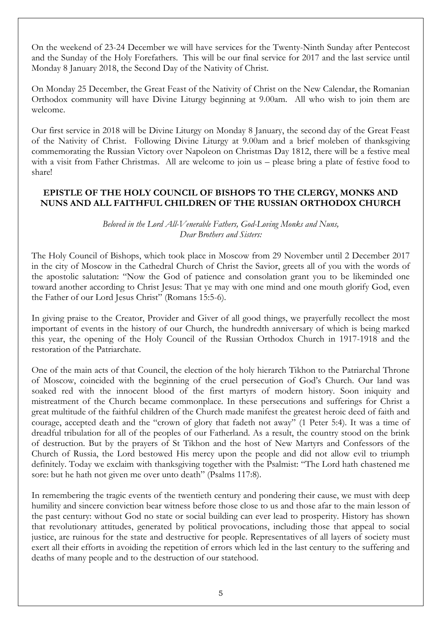On the weekend of 23-24 December we will have services for the Twenty-Ninth Sunday after Pentecost and the Sunday of the Holy Forefathers. This will be our final service for 2017 and the last service until Monday 8 January 2018, the Second Day of the Nativity of Christ.

On Monday 25 December, the Great Feast of the Nativity of Christ on the New Calendar, the Romanian Orthodox community will have Divine Liturgy beginning at 9.00am. All who wish to join them are welcome.

Our first service in 2018 will be Divine Liturgy on Monday 8 January, the second day of the Great Feast of the Nativity of Christ. Following Divine Liturgy at 9.00am and a brief moleben of thanksgiving commemorating the Russian Victory over Napoleon on Christmas Day 1812, there will be a festive meal with a visit from Father Christmas. All are welcome to join us – please bring a plate of festive food to share!

# EPISTLE OF THE HOLY COUNCIL OF BISHOPS TO THE CLERGY, MONKS AND NUNS AND ALL FAITHFUL CHILDREN OF THE RUSSIAN ORTHODOX CHURCH

#### Beloved in the Lord All-Venerable Fathers, God-Loving Monks and Nuns, Dear Brothers and Sisters:

The Holy Council of Bishops, which took place in Moscow from 29 November until 2 December 2017 in the city of Moscow in the Cathedral Church of Christ the Savior, greets all of you with the words of the apostolic salutation: "Now the God of patience and consolation grant you to be likeminded one toward another according to Christ Jesus: That ye may with one mind and one mouth glorify God, even the Father of our Lord Jesus Christ" (Romans 15:5-6).

In giving praise to the Creator, Provider and Giver of all good things, we prayerfully recollect the most important of events in the history of our Church, the hundredth anniversary of which is being marked this year, the opening of the Holy Council of the Russian Orthodox Church in 1917-1918 and the restoration of the Patriarchate.

One of the main acts of that Council, the election of the holy hierarch Tikhon to the Patriarchal Throne of Moscow, coincided with the beginning of the cruel persecution of God's Church. Our land was soaked red with the innocent blood of the first martyrs of modern history. Soon iniquity and mistreatment of the Church became commonplace. In these persecutions and sufferings for Christ a great multitude of the faithful children of the Church made manifest the greatest heroic deed of faith and courage, accepted death and the "crown of glory that fadeth not away" (1 Peter 5:4). It was a time of dreadful tribulation for all of the peoples of our Fatherland. As a result, the country stood on the brink of destruction. But by the prayers of St Tikhon and the host of New Martyrs and Confessors of the Church of Russia, the Lord bestowed His mercy upon the people and did not allow evil to triumph definitely. Today we exclaim with thanksgiving together with the Psalmist: "The Lord hath chastened me sore: but he hath not given me over unto death" (Psalms 117:8).

In remembering the tragic events of the twentieth century and pondering their cause, we must with deep humility and sincere conviction bear witness before those close to us and those afar to the main lesson of the past century: without God no state or social building can ever lead to prosperity. History has shown that revolutionary attitudes, generated by political provocations, including those that appeal to social justice, are ruinous for the state and destructive for people. Representatives of all layers of society must exert all their efforts in avoiding the repetition of errors which led in the last century to the suffering and deaths of many people and to the destruction of our statehood.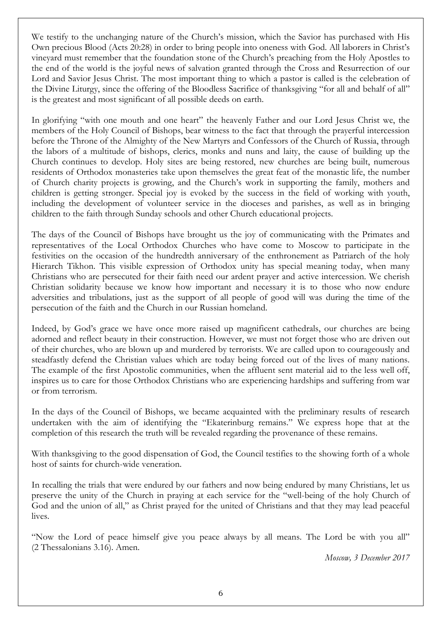We testify to the unchanging nature of the Church's mission, which the Savior has purchased with His Own precious Blood (Acts 20:28) in order to bring people into oneness with God. All laborers in Christ's vineyard must remember that the foundation stone of the Church's preaching from the Holy Apostles to the end of the world is the joyful news of salvation granted through the Cross and Resurrection of our Lord and Savior Jesus Christ. The most important thing to which a pastor is called is the celebration of the Divine Liturgy, since the offering of the Bloodless Sacrifice of thanksgiving "for all and behalf of all" is the greatest and most significant of all possible deeds on earth.

In glorifying "with one mouth and one heart" the heavenly Father and our Lord Jesus Christ we, the members of the Holy Council of Bishops, bear witness to the fact that through the prayerful intercession before the Throne of the Almighty of the New Martyrs and Confessors of the Church of Russia, through the labors of a multitude of bishops, clerics, monks and nuns and laity, the cause of building up the Church continues to develop. Holy sites are being restored, new churches are being built, numerous residents of Orthodox monasteries take upon themselves the great feat of the monastic life, the number of Church charity projects is growing, and the Church's work in supporting the family, mothers and children is getting stronger. Special joy is evoked by the success in the field of working with youth, including the development of volunteer service in the dioceses and parishes, as well as in bringing children to the faith through Sunday schools and other Church educational projects.

The days of the Council of Bishops have brought us the joy of communicating with the Primates and representatives of the Local Orthodox Churches who have come to Moscow to participate in the festivities on the occasion of the hundredth anniversary of the enthronement as Patriarch of the holy Hierarch Tikhon. This visible expression of Orthodox unity has special meaning today, when many Christians who are persecuted for their faith need our ardent prayer and active intercession. We cherish Christian solidarity because we know how important and necessary it is to those who now endure adversities and tribulations, just as the support of all people of good will was during the time of the persecution of the faith and the Church in our Russian homeland.

Indeed, by God's grace we have once more raised up magnificent cathedrals, our churches are being adorned and reflect beauty in their construction. However, we must not forget those who are driven out of their churches, who are blown up and murdered by terrorists. We are called upon to courageously and steadfastly defend the Christian values which are today being forced out of the lives of many nations. The example of the first Apostolic communities, when the affluent sent material aid to the less well off, inspires us to care for those Orthodox Christians who are experiencing hardships and suffering from war or from terrorism.

In the days of the Council of Bishops, we became acquainted with the preliminary results of research undertaken with the aim of identifying the "Ekaterinburg remains." We express hope that at the completion of this research the truth will be revealed regarding the provenance of these remains.

With thanksgiving to the good dispensation of God, the Council testifies to the showing forth of a whole host of saints for church-wide veneration.

In recalling the trials that were endured by our fathers and now being endured by many Christians, let us preserve the unity of the Church in praying at each service for the "well-being of the holy Church of God and the union of all," as Christ prayed for the united of Christians and that they may lead peaceful lives.

"Now the Lord of peace himself give you peace always by all means. The Lord be with you all" (2 Thessalonians 3.16). Amen.

Moscow, 3 December 2017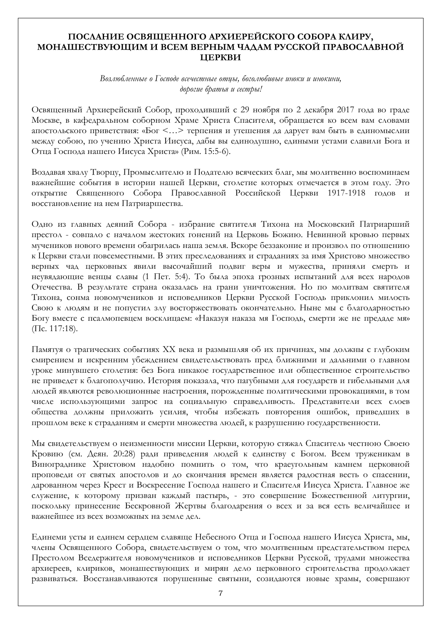#### ПОСЛАНИЕ ОСВЯЩЕННОГО АРХИЕРЕЙСКОГО СОБОРА КЛИРУ, МОНАШЕСТВУЮЩИМ И ВСЕМ ВЕРНЫМ ЧАДАМ РУССКОЙ ПРАВОСЛАВНОЙ ЦЕРКВИ

Возлюбленные о Господе всечестные отцы, боголюбивые иноки и инокини, дорогие братья и сестры!

Освященный Архиерейский Собор, проходивший с 29 ноября по 2 декабря 2017 года во граде Москве, в кафедральном соборном Храме Христа Спасителя, обращается ко всем вам словами апостольского приветствия: «Бог <…> терпения и утешения да дарует вам быть в единомыслии между собою, по учению Христа Иисуса, дабы вы единодушно, едиными устами славили Бога и Отца Господа нашего Иисуса Христа» (Рим. 15:5-6).

Воздавая хвалу Творцу, Промыслителю и Подателю всяческих благ, мы молитвенно воспоминаем важнейшие события в истории нашей Церкви, столетие которых отмечается в этом году. Это открытие Священного Собора Православной Российской Церкви 1917-1918 годов и восстановление на нем Патриаршества.

Одно из главных деяний Собора - избрание святителя Тихона на Московский Патриарший престол - совпало с началом жестоких гонений на Церковь Божию. Невинной кровью первых мучеников нового времени обагрилась наша земля. Вскоре беззаконие и произвол по отношению к Церкви стали повсеместными. В этих преследованиях и страданиях за имя Христово множество верных чад церковных явили высочайший подвиг веры и мужества, приняли смерть и неувядающие венцы славы (1 Пет. 5:4). То была эпоха грозных испытаний для всех народов Отечества. В результате страна оказалась на грани уничтожения. Но по молитвам святителя Тихона, сонма новомучеников и исповедников Церкви Русской Господь приклонил милость Свою к людям и не попустил злу восторжествовать окончательно. Ныне мы с благодарностью Богу вместе с псалмопевцем восклицаем: «Наказуя наказа мя Господь, смерти же не предаде мя» (Пс. 117:18).

Памятуя о трагических событиях ХХ века и размышляя об их причинах, мы должны с глубоким смирением и искренним убеждением свидетельствовать пред ближними и дальними о главном уроке минувшего столетия: без Бога никакое государственное или общественное строительство не приведет к благополучию. История показала, что пагубными для государств и гибельными для людей являются революционные настроения, порожденные политическими провокациями, в том числе использующими запрос на социальную справедливость. Представители всех слоев общества должны приложить усилия, чтобы избежать повторения ошибок, приведших в прошлом веке к страданиям и смерти множества людей, к разрушению государственности.

Мы свидетельствуем о неизменности миссии Церкви, которую стяжал Спаситель честною Своею Кровию (см. Деян. 20:28) ради приведения людей к единству с Богом. Всем труженикам в Винограднике Христовом надобно помнить о том, что краеугольным камнем церковной проповеди от святых апостолов и до скончания времен является радостная весть о спасении, дарованном через Крест и Воскресение Господа нашего и Спасителя Иисуса Христа. Главное же служение, к которому призван каждый пастырь, - это совершение Божественной литургии, поскольку принесение Бескровной Жертвы благодарения о всех и за вся есть величайшее и важнейшее из всех возможных на земле дел.

Единеми усты и единем сердцем славяще Небесного Отца и Господа нашего Иисуса Христа, мы, члены Освященного Собора, свидетельствуем о том, что молитвенным предстательством перед Престолом Вседержителя новомучеников и исповедников Церкви Русской, трудами множества архиереев, клириков, монашествующих и мирян дело церковного строительства продолжает развиваться. Восстанавливаются порушенные святыни, созидаются новые храмы, совершают